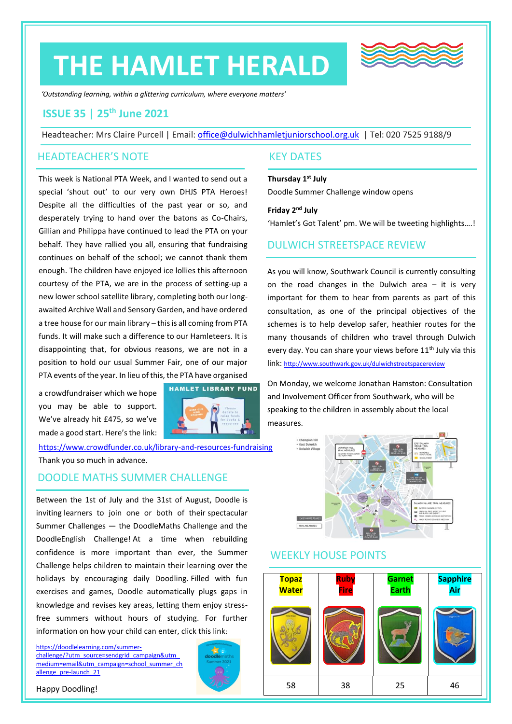# **THE HAMLET HERALD**



*'Outstanding learning, within a glittering curriculum, where everyone matters'*

## **ISSUE 35 | 25th June 2021**

Headteacher: Mrs Claire Purcell | Email: [office@dulwichhamletjuniorschool.org.uk](mailto:office@dulwichhamletjuniorschool.org.uk) | Tel: 020 7525 9188/9

#### HEADTEACHER'S NOTE

This week is National PTA Week, and I wanted to send out a special 'shout out' to our very own DHJS PTA Heroes! Despite all the difficulties of the past year or so, and desperately trying to hand over the batons as Co-Chairs, Gillian and Philippa have continued to lead the PTA on your behalf. They have rallied you all, ensuring that fundraising continues on behalf of the school; we cannot thank them enough. The children have enjoyed ice lollies this afternoon courtesy of the PTA, we are in the process of setting-up a new lower school satellite library, completing both our longawaited Archive Wall and Sensory Garden, and have ordered a tree house for our main library – this is all coming from PTA funds. It will make such a difference to our Hamleteers. It is disappointing that, for obvious reasons, we are not in a position to hold our usual Summer Fair, one of our major PTA events of the year. In lieu of this, the PTA have organised

a crowdfundraiser which we hope you may be able to support. We've already hit £475, so we've made a good start. Here's the link:



<https://www.crowdfunder.co.uk/library-and-resources-fundraising> Thank you so much in advance.

#### DOODLE MATHS SUMMER CHALLENGE

Between the 1st of July and the 31st of August, Doodle is inviting learners to join one or both of their spectacular Summer Challenges — the DoodleMaths Challenge and the DoodleEnglish Challenge! At a time when rebuilding confidence is more important than ever, the Summer Challenge helps children to maintain their learning over the holidays by encouraging daily Doodling. Filled with fun exercises and games, Doodle automatically plugs gaps in knowledge and revises key areas, letting them enjoy stressfree summers without hours of studying. For further information on how your child can enter, click this link:

[https://doodlelearning.com/summer](https://doodlelearning.com/summer-challenge/?utm_source=sendgrid_campaign&utm_medium=email&utm_campaign=school_summer_challenge_pre-launch_21)challenge/?utm\_source=sendgrid\_campaign&utm [medium=email&utm\\_campaign=school\\_summer\\_ch](https://doodlelearning.com/summer-challenge/?utm_source=sendgrid_campaign&utm_medium=email&utm_campaign=school_summer_challenge_pre-launch_21) [allenge\\_pre-launch\\_21](https://doodlelearning.com/summer-challenge/?utm_source=sendgrid_campaign&utm_medium=email&utm_campaign=school_summer_challenge_pre-launch_21)



#### KEY DATES

**Thursday 1st July** Doodle Summer Challenge window opens

Friday 2<sup>nd</sup> July

'Hamlet's Got Talent' pm. We will be tweeting highlights….!

### DULWICH STREETSPACE REVIEW

As you will know, Southwark Council is currently consulting on the road changes in the Dulwich area – it is very important for them to hear from parents as part of this consultation, as one of the principal objectives of the schemes is to help develop safer, heathier routes for the many thousands of children who travel through Dulwich every day. You can share your views before  $11<sup>th</sup>$  July via this link: <http://www.southwark.gov.uk/dulwichstreetspacereview>

On Monday, we welcome Jonathan Hamston: Consultation and Involvement Officer from Southwark, who will be speaking to the children in assembly about the local measures.



## WEEKLY HOUSE POINTS



Happy Doodling!